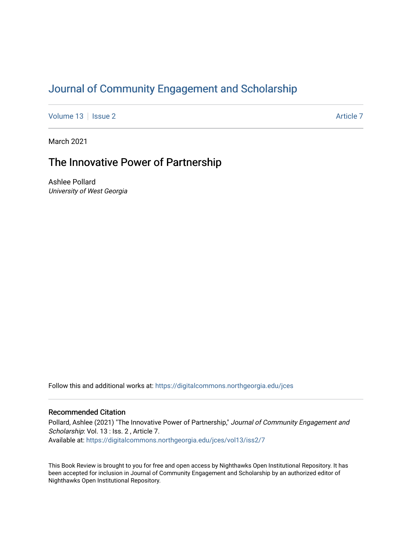# [Journal of Community Engagement and Scholarship](https://digitalcommons.northgeorgia.edu/jces)

[Volume 13](https://digitalcommons.northgeorgia.edu/jces/vol13) | [Issue 2](https://digitalcommons.northgeorgia.edu/jces/vol13/iss2) Article 7

March 2021

## The Innovative Power of Partnership

Ashlee Pollard University of West Georgia

Follow this and additional works at: [https://digitalcommons.northgeorgia.edu/jces](https://digitalcommons.northgeorgia.edu/jces?utm_source=digitalcommons.northgeorgia.edu%2Fjces%2Fvol13%2Fiss2%2F7&utm_medium=PDF&utm_campaign=PDFCoverPages)

## Recommended Citation

Pollard, Ashlee (2021) "The Innovative Power of Partnership," Journal of Community Engagement and Scholarship: Vol. 13 : Iss. 2, Article 7. Available at: [https://digitalcommons.northgeorgia.edu/jces/vol13/iss2/7](https://digitalcommons.northgeorgia.edu/jces/vol13/iss2/7?utm_source=digitalcommons.northgeorgia.edu%2Fjces%2Fvol13%2Fiss2%2F7&utm_medium=PDF&utm_campaign=PDFCoverPages) 

This Book Review is brought to you for free and open access by Nighthawks Open Institutional Repository. It has been accepted for inclusion in Journal of Community Engagement and Scholarship by an authorized editor of Nighthawks Open Institutional Repository.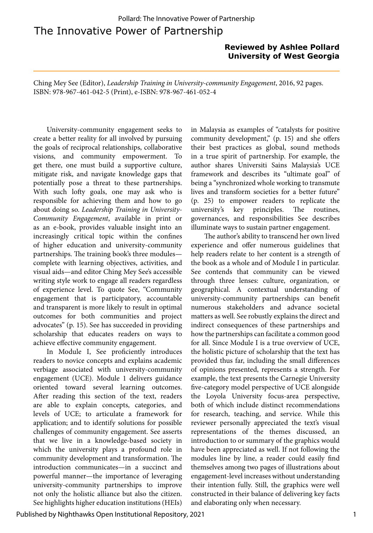The Innovative Power of Partnership Pollard: The Innovative Power of Partnership

### **Reviewed by Ashlee Pollard University of West Georgia**

Ching Mey See (Editor), *Leadership Training in University-community Engagement*, 2016, 92 pages. ISBN: 978-967-461-042-5 (Print), e-ISBN: 978-967-461-052-4

University-community engagement seeks to create a better reality for all involved by pursuing the goals of reciprocal relationships, collaborative visions, and community empowerment. To get there, one must build a supportive culture, mitigate risk, and navigate knowledge gaps that potentially pose a threat to these partnerships. With such lofty goals, one may ask who is responsible for achieving them and how to go about doing so. *Leadership Training in University-Community Engagement*, available in print or as an e-book, provides valuable insight into an increasingly critical topic within the confines of higher education and university-community partnerships. The training book's three modules complete with learning objectives, activities, and visual aids—and editor Ching Mey See's accessible writing style work to engage all readers regardless of experience level. To quote See, "Community engagement that is participatory, accountable and transparent is more likely to result in optimal outcomes for both communities and project advocates" (p. 15). See has succeeded in providing scholarship that educates readers on ways to achieve effective community engagement.

In Module I, See proficiently introduces readers to novice concepts and explains academic verbiage associated with university-community engagement (UCE). Module 1 delivers guidance oriented toward several learning outcomes. After reading this section of the text, readers are able to explain concepts, categories, and levels of UCE; to articulate a framework for application; and to identify solutions for possible challenges of community engagement. See asserts that we live in a knowledge-based society in which the university plays a profound role in community development and transformation. The introduction communicates—in a succinct and powerful manner—the importance of leveraging university-community partnerships to improve not only the holistic alliance but also the citizen. See highlights higher education institutions (HEIs)

in Malaysia as examples of "catalysts for positive community development," (p. 15) and she offers their best practices as global, sound methods in a true spirit of partnership. For example, the author shares Universiti Sains Malaysia's UCE framework and describes its "ultimate goal" of being a "synchronized whole working to transmute lives and transform societies for a better future" (p. 25) to empower readers to replicate the university's key principles. The routines, governances, and responsibilities See describes illuminate ways to sustain partner engagement.

The author's ability to transcend her own lived experience and offer numerous guidelines that help readers relate to her content is a strength of the book as a whole and of Module I in particular. See contends that community can be viewed through three lenses: culture, organization, or geographical. A contextual understanding of university-community partnerships can benefit numerous stakeholders and advance societal matters as well. See robustly explains the direct and indirect consequences of these partnerships and how the partnerships can facilitate a common good for all. Since Module I is a true overview of UCE, the holistic picture of scholarship that the text has provided thus far, including the small differences of opinions presented, represents a strength. For example, the text presents the Carnegie University five-category model perspective of UCE alongside the Loyola University focus-area perspective, both of which include distinct recommendations for research, teaching, and service. While this reviewer personally appreciated the text's visual representations of the themes discussed, an introduction to or summary of the graphics would have been appreciated as well. If not following the modules line by line, a reader could easily find themselves among two pages of illustrations about engagement-level increases without understanding their intention fully. Still, the graphics were well constructed in their balance of delivering key facts and elaborating only when necessary.

Published by Nighthawks Open Institutional Repository, 2021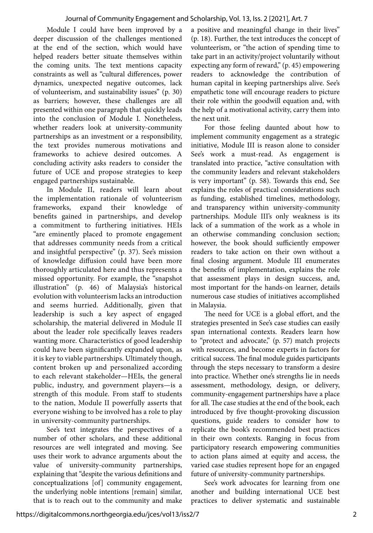Module I could have been improved by a deeper discussion of the challenges mentioned at the end of the section, which would have helped readers better situate themselves within the coming units. The text mentions capacity constraints as well as "cultural differences, power dynamics, unexpected negative outcomes, lack of volunteerism, and sustainability issues" (p. 30) as barriers; however, these challenges are all presented within one paragraph that quickly leads into the conclusion of Module I. Nonetheless, whether readers look at university-community partnerships as an investment or a responsibility, the text provides numerous motivations and frameworks to achieve desired outcomes. A concluding activity asks readers to consider the future of UCE and propose strategies to keep engaged partnerships sustainable.

In Module II, readers will learn about the implementation rationale of volunteerism frameworks, expand their knowledge benefits gained in partnerships, and develop a commitment to furthering initiatives. HEIs "are eminently placed to promote engagement that addresses community needs from a critical and insightful perspective" (p. 37). See's mission of knowledge diffusion could have been more thoroughly articulated here and thus represents a missed opportunity. For example, the "snapshot illustration" (p. 46) of Malaysia's historical evolution with volunteerism lacks an introduction and seems hurried. Additionally, given that leadership is such a key aspect of engaged scholarship, the material delivered in Module II about the leader role specifically leaves readers wanting more. Characteristics of good leadership could have been significantly expanded upon, as it is key to viable partnerships. Ultimately though, content broken up and personalized according to each relevant stakeholder—HEIs, the general public, industry, and government players—is a strength of this module. From staff to students to the nation, Module II powerfully asserts that everyone wishing to be involved has a role to play in university-community partnerships.

See's text integrates the perspectives of a number of other scholars, and these additional resources are well integrated and moving. See uses their work to advance arguments about the value of university-community partnerships, explaining that "despite the various definitions and conceptualizations [of] community engagement, the underlying noble intentions [remain] similar, that is to reach out to the community and make a positive and meaningful change in their lives" (p. 18). Further, the text introduces the concept of volunteerism, or "the action of spending time to take part in an activity/project voluntarily without expecting any form of reward," (p. 45) empowering readers to acknowledge the contribution of human capital in keeping partnerships alive. See's empathetic tone will encourage readers to picture their role within the goodwill equation and, with the help of a motivational activity, carry them into the next unit.

For those feeling daunted about how to implement community engagement as a strategic initiative, Module III is reason alone to consider See's work a must-read. As engagement is translated into practice, "active consultation with the community leaders and relevant stakeholders is very important" (p. 58). Towards this end, See explains the roles of practical considerations such as funding, established timelines, methodology, and transparency within university-community partnerships. Module III's only weakness is its lack of a summation of the work as a whole in an otherwise commanding conclusion section; however, the book should sufficiently empower readers to take action on their own without a final closing argument. Module III enumerates the benefits of implementation, explains the role that assessment plays in design success, and, most important for the hands-on learner, details numerous case studies of initiatives accomplished in Malaysia.

The need for UCE is a global effort, and the strategies presented in See's case studies can easily span international contexts. Readers learn how to "protect and advocate," (p. 57) match projects with resources, and become experts in factors for critical success. The final module guides participants through the steps necessary to transform a desire into practice. Whether one's strengths lie in needs assessment, methodology, design, or delivery, community-engagement partnerships have a place for all. The case studies at the end of the book, each introduced by five thought-provoking discussion questions, guide readers to consider how to replicate the book's recommended best practices in their own contexts. Ranging in focus from participatory research empowering communities to action plans aimed at equity and access, the varied case studies represent hope for an engaged future of university-community partnerships.

See's work advocates for learning from one another and building international UCE best practices to deliver systematic and sustainable